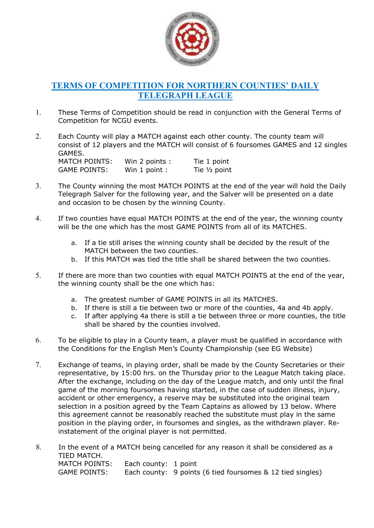

## TERMS OF COMPETITION FOR NORTHERN COUNTIES' DAILY TELEGRAPH LEAGUE

- 1. These Terms of Competition should be read in conjunction with the General Terms of Competition for NCGU events.
- 2. Each County will play a MATCH against each other county. The county team will consist of 12 players and the MATCH will consist of 6 foursomes GAMES and 12 singles GAMES. MATCH POINTS: Win 2 points : Tie 1 point GAME POINTS: Win 1 point : Tie 1/2 point
- 3. The County winning the most MATCH POINTS at the end of the year will hold the Daily Telegraph Salver for the following year, and the Salver will be presented on a date and occasion to be chosen by the winning County.
- 4. If two counties have equal MATCH POINTS at the end of the year, the winning county will be the one which has the most GAME POINTS from all of its MATCHES.
	- a. If a tie still arises the winning county shall be decided by the result of the MATCH between the two counties.
	- b. If this MATCH was tied the title shall be shared between the two counties.
- 5. If there are more than two counties with equal MATCH POINTS at the end of the year, the winning county shall be the one which has:
	- a. The greatest number of GAME POINTS in all its MATCHES.
	- b. If there is still a tie between two or more of the counties, 4a and 4b apply.
	- c. If after applying 4a there is still a tie between three or more counties, the title shall be shared by the counties involved.
- 6. To be eligible to play in a County team, a player must be qualified in accordance with the Conditions for the English Men's County Championship (see EG Website)
- 7. Exchange of teams, in playing order, shall be made by the County Secretaries or their representative, by 15:00 hrs. on the Thursday prior to the League Match taking place. After the exchange, including on the day of the League match, and only until the final game of the morning foursomes having started, in the case of sudden illness, injury, accident or other emergency, a reserve may be substituted into the original team selection in a position agreed by the Team Captains as allowed by 13 below. Where this agreement cannot be reasonably reached the substitute must play in the same position in the playing order, in foursomes and singles, as the withdrawn player. Reinstatement of the original player is not permitted.
- 8. In the event of a MATCH being cancelled for any reason it shall be considered as a TIED MATCH. MATCH POINTS: Each county: 1 point GAME POINTS: Each county: 9 points (6 tied foursomes & 12 tied singles)